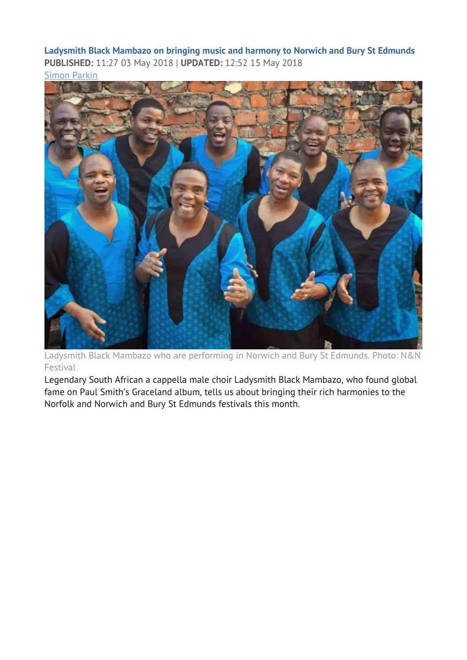**Ladysmith Black Mambazo on bringing music and harmony to Norwich and Bury St Edmunds PUBLISHED:** 11:27 03 May 2018 | **UPDATED:** 12:52 15 May 2018 [Simon](mailto:simon.parkin@archant.co.uk) Parkin



Ladysmith Black Mambazo who are performing in Norwich and Bury St Edmunds. Photo: N&N Festival

Legendary South African a cappella male choir Ladysmith Black Mambazo, who found global fame on Paul Smith's Graceland album, tells us about bringing their rich harmonies to the Norfolk and Norwich and Bury St Edmunds festivals this month.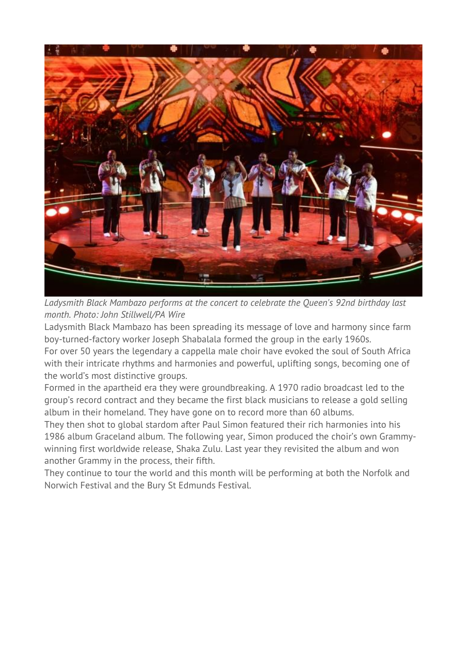

*Ladysmith Black Mambazo performs at the concert to celebrate the Queen's 92nd birthday last month. Photo: John Stillwell/PA Wire*

Ladysmith Black Mambazo has been spreading its message of love and harmony since farm boy-turned-factory worker Joseph Shabalala formed the group in the early 1960s.

For over 50 years the legendary a cappella male choir have evoked the soul of South Africa with their intricate rhythms and harmonies and powerful, uplifting songs, becoming one of the world's most distinctive groups.

Formed in the apartheid era they were groundbreaking. A 1970 radio broadcast led to the group's record contract and they became the first black musicians to release a gold selling album in their homeland. They have gone on to record more than 60 albums.

They then shot to global stardom after Paul Simon featured their rich harmonies into his 1986 album Graceland album. The following year, Simon produced the choir's own Grammywinning first worldwide release, Shaka Zulu. Last year they revisited the album and won another Grammy in the process, their fifth.

They continue to tour the world and this month will be performing at both the Norfolk and Norwich Festival and the Bury St Edmunds Festival.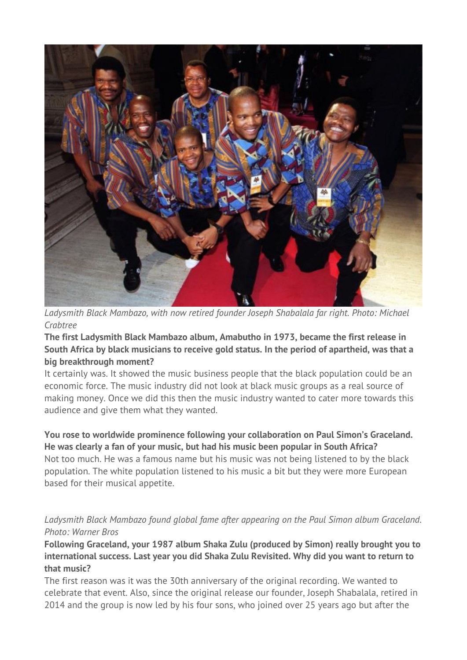

*Ladysmith Black Mambazo, with now retired founder Joseph Shabalala far right. Photo: Michael Crabtree*

**The first Ladysmith Black Mambazo album, Amabutho in 1973, became the first release in South Africa by black musicians to receive gold status. In the period of apartheid, was that a big breakthrough moment?**

It certainly was. It showed the music business people that the black population could be an economic force. The music industry did not look at black music groups as a real source of making money. Once we did this then the music industry wanted to cater more towards this audience and give them what they wanted.

**You rose to worldwide prominence following your collaboration on Paul Simon's Graceland. He was clearly a fan of your music, but had his music been popular in South Africa?** Not too much. He was a famous name but his music was not being listened to by the black population. The white population listened to his music a bit but they were more European based for their musical appetite.

*Ladysmith Black Mambazo found global fame after appearing on the Paul Simon album Graceland. Photo: Warner Bros*

**Following Graceland, your 1987 album Shaka Zulu (produced by Simon) really brought you to international success. Last year you did Shaka Zulu Revisited. Why did you want to return to that music?**

The first reason was it was the 30th anniversary of the original recording. We wanted to celebrate that event. Also, since the original release our founder, Joseph Shabalala, retired in 2014 and the group is now led by his four sons, who joined over 25 years ago but after the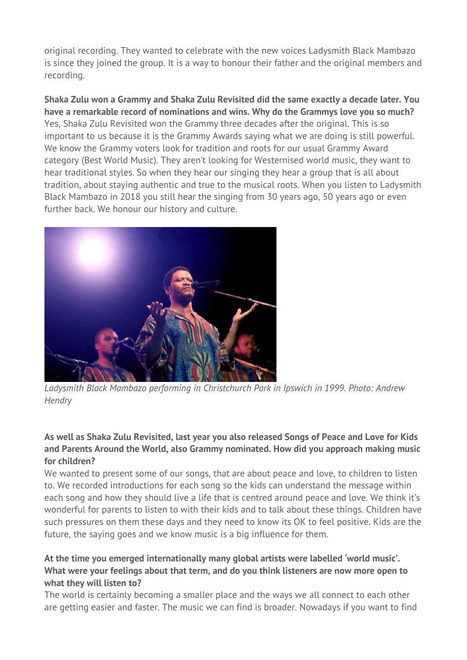original recording. They wanted to celebrate with the new voices Ladysmith Black Mambazo is since they joined the group. It is a way to honour their father and the original members and recording.

**Shaka Zulu won a Grammy and Shaka Zulu Revisited did the same exactly a decade later. You have a remarkable record of nominations and wins. Why do the Grammys love you so much?** Yes, Shaka Zulu Revisited won the Grammy three decades after the original. This is so important to us because it is the Grammy Awards saying what we are doing is still powerful. We know the Grammy voters look for tradition and roots for our usual Grammy Award category (Best World Music). They aren't looking for Westernised world music, they want to hear traditional styles. So when they hear our singing they hear a group that is all about tradition, about staying authentic and true to the musical roots. When you listen to Ladysmith Black Mambazo in 2018 you still hear the singing from 30 years ago, 50 years ago or even further back. We honour our history and culture.



*Ladysmith Black Mambazo performing in Christchurch Park in Ipswich in 1999. Photo: Andrew Hendry*

## **As well as Shaka Zulu Revisited, last year you also released Songs of Peace and Love for Kids and Parents Around the World, also Grammy nominated. How did you approach making music for children?**

We wanted to present some of our songs, that are about peace and love, to children to listen to. We recorded introductions for each song so the kids can understand the message within each song and how they should live a life that is centred around peace and love. We think it's wonderful for parents to listen to with their kids and to talk about these things. Children have such pressures on them these days and they need to know its OK to feel positive. Kids are the future, the saying goes and we know music is a big influence for them.

# **At the time you emerged internationally many global artists were labelled 'world music'. What were your feelings about that term, and do you think listeners are now more open to what they will listen to?**

The world is certainly becoming a smaller place and the ways we all connect to each other are getting easier and faster. The music we can find is broader. Nowadays if you want to find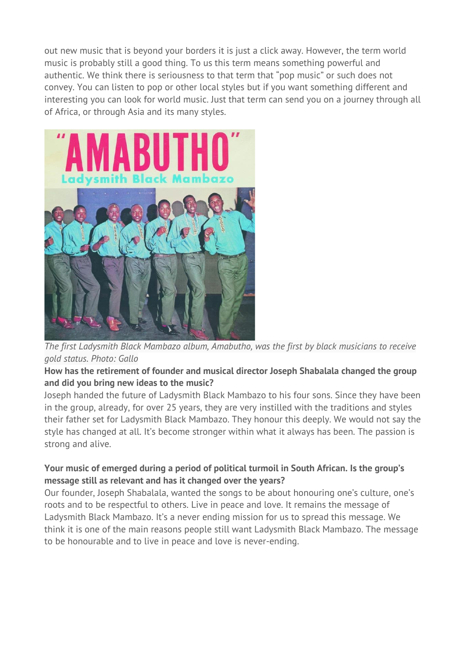out new music that is beyond your borders it is just a click away. However, the term world music is probably still a good thing. To us this term means something powerful and authentic. We think there is seriousness to that term that "pop music" or such does not convey. You can listen to pop or other local styles but if you want something different and interesting you can look for world music. Just that term can send you on a journey through all of Africa, or through Asia and its many styles.



*The first Ladysmith Black Mambazo album, Amabutho, was the first by black musicians to receive gold status. Photo: Gallo*

#### **How has the retirement of founder and musical director Joseph Shabalala changed the group and did you bring new ideas to the music?**

Joseph handed the future of Ladysmith Black Mambazo to his four sons. Since they have been in the group, already, for over 25 years, they are very instilled with the traditions and styles their father set for Ladysmith Black Mambazo. They honour this deeply. We would not say the style has changed at all. It's become stronger within what it always has been. The passion is strong and alive.

# **Your music of emerged during a period of political turmoil in South African. Is the group's message still as relevant and has it changed over the years?**

Our founder, Joseph Shabalala, wanted the songs to be about honouring one's culture, one's roots and to be respectful to others. Live in peace and love. It remains the message of Ladysmith Black Mambazo. It's a never ending mission for us to spread this message. We think it is one of the main reasons people still want Ladysmith Black Mambazo. The message to be honourable and to live in peace and love is never-ending.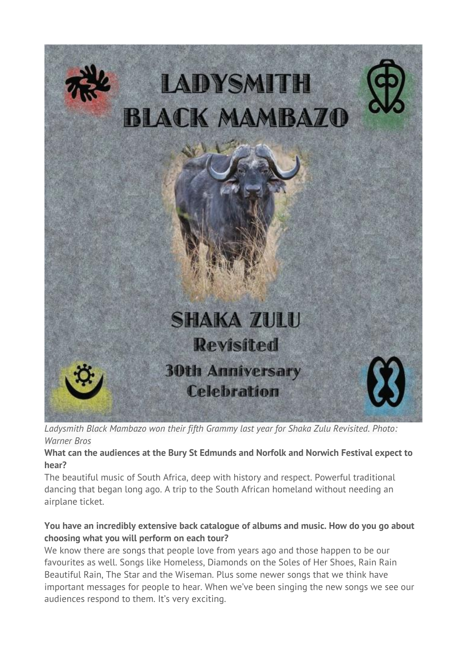

*Ladysmith Black Mambazo won their fifth Grammy last year for Shaka Zulu Revisited. Photo: Warner Bros*

#### **What can the audiences at the Bury St Edmunds and Norfolk and Norwich Festival expect to hear?**

The beautiful music of South Africa, deep with history and respect. Powerful traditional dancing that began long ago. A trip to the South African homeland without needing an airplane ticket.

# **You have an incredibly extensive back catalogue of albums and music. How do you go about choosing what you will perform on each tour?**

We know there are songs that people love from years ago and those happen to be our favourites as well. Songs like Homeless, Diamonds on the Soles of Her Shoes, Rain Rain Beautiful Rain, The Star and the Wiseman. Plus some newer songs that we think have important messages for people to hear. When we've been singing the new songs we see our audiences respond to them. It's very exciting.